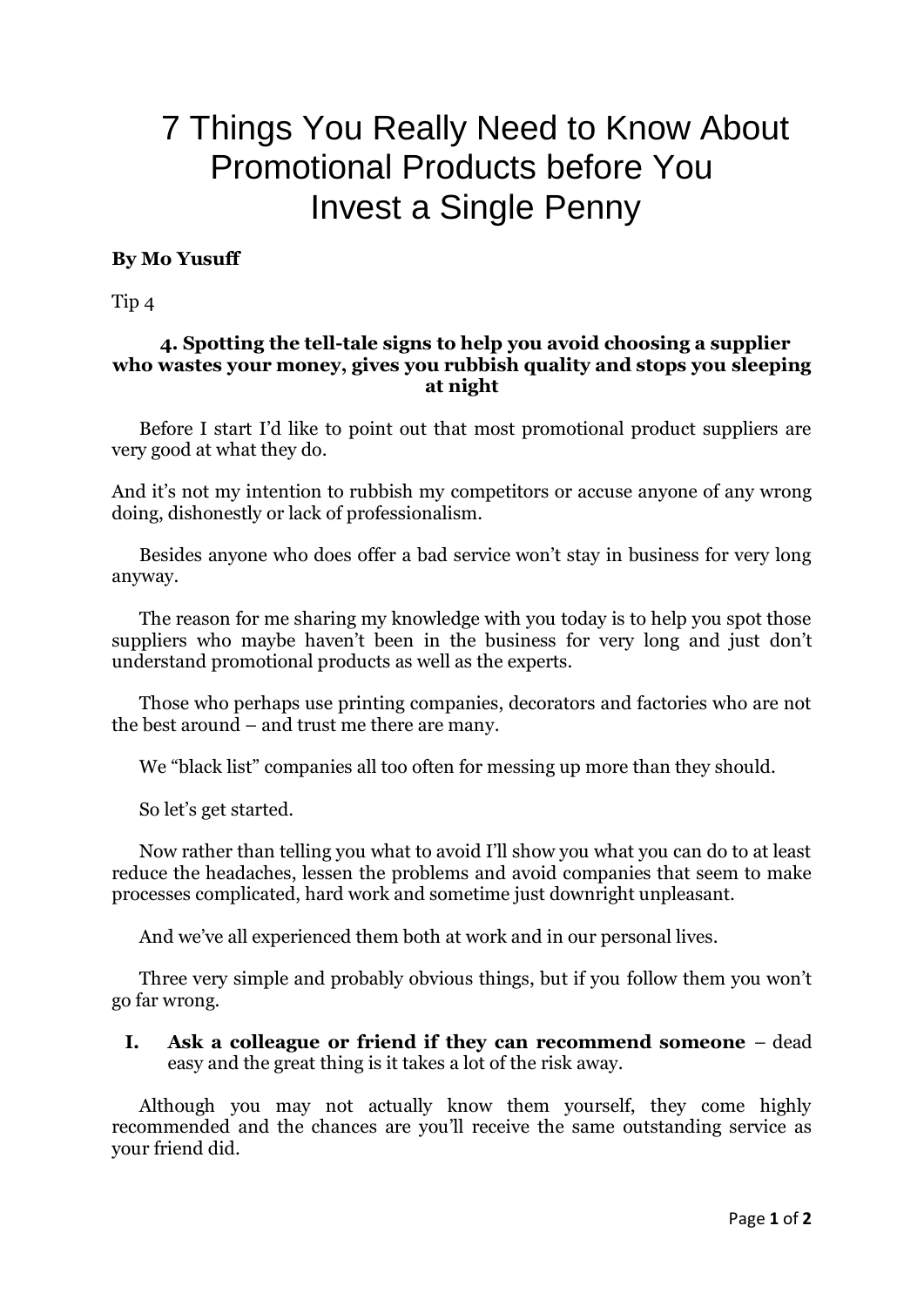## 7 Things You Really Need to Know About Promotional Products before You Invest a Single Penny

## **By Mo Yusuff**

Tip 4

## **4. Spotting the tell-tale signs to help you avoid choosing a supplier who wastes your money, gives you rubbish quality and stops you sleeping at night**

Before I start I'd like to point out that most promotional product suppliers are very good at what they do.

And it's not my intention to rubbish my competitors or accuse anyone of any wrong doing, dishonestly or lack of professionalism.

Besides anyone who does offer a bad service won't stay in business for very long anyway.

The reason for me sharing my knowledge with you today is to help you spot those suppliers who maybe haven't been in the business for very long and just don't understand promotional products as well as the experts.

Those who perhaps use printing companies, decorators and factories who are not the best around – and trust me there are many.

We "black list" companies all too often for messing up more than they should.

So let's get started.

Now rather than telling you what to avoid I'll show you what you can do to at least reduce the headaches, lessen the problems and avoid companies that seem to make processes complicated, hard work and sometime just downright unpleasant.

And we've all experienced them both at work and in our personal lives.

Three very simple and probably obvious things, but if you follow them you won't go far wrong.

**I. Ask a colleague or friend if they can recommend someone** – dead easy and the great thing is it takes a lot of the risk away.

Although you may not actually know them yourself, they come highly recommended and the chances are you'll receive the same outstanding service as your friend did.